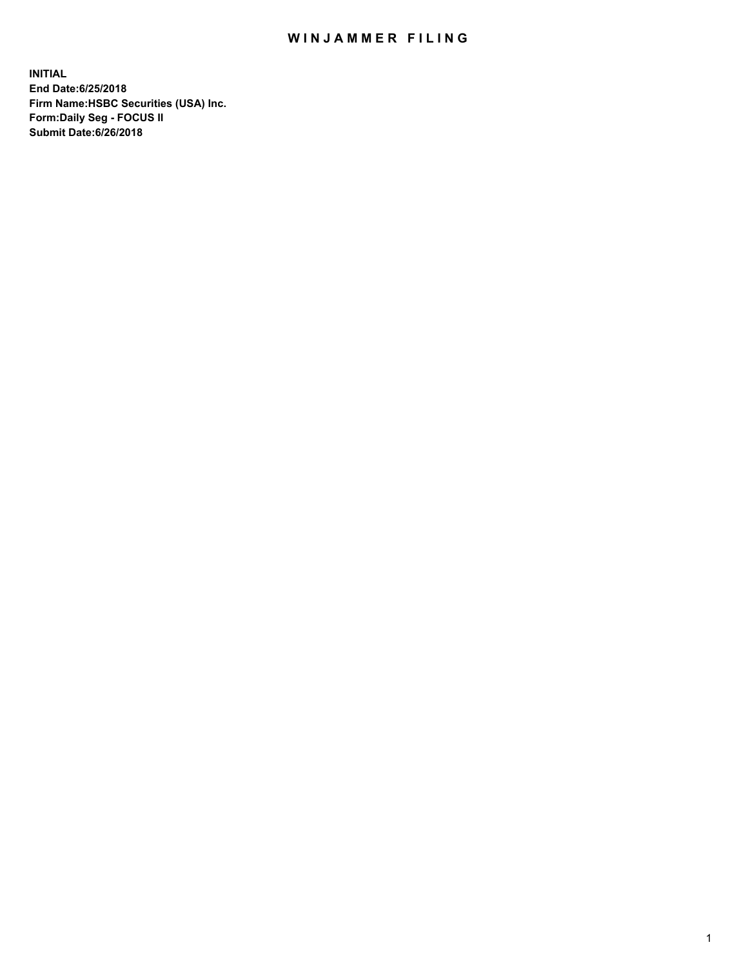## WIN JAMMER FILING

**INITIAL End Date:6/25/2018 Firm Name:HSBC Securities (USA) Inc. Form:Daily Seg - FOCUS II Submit Date:6/26/2018**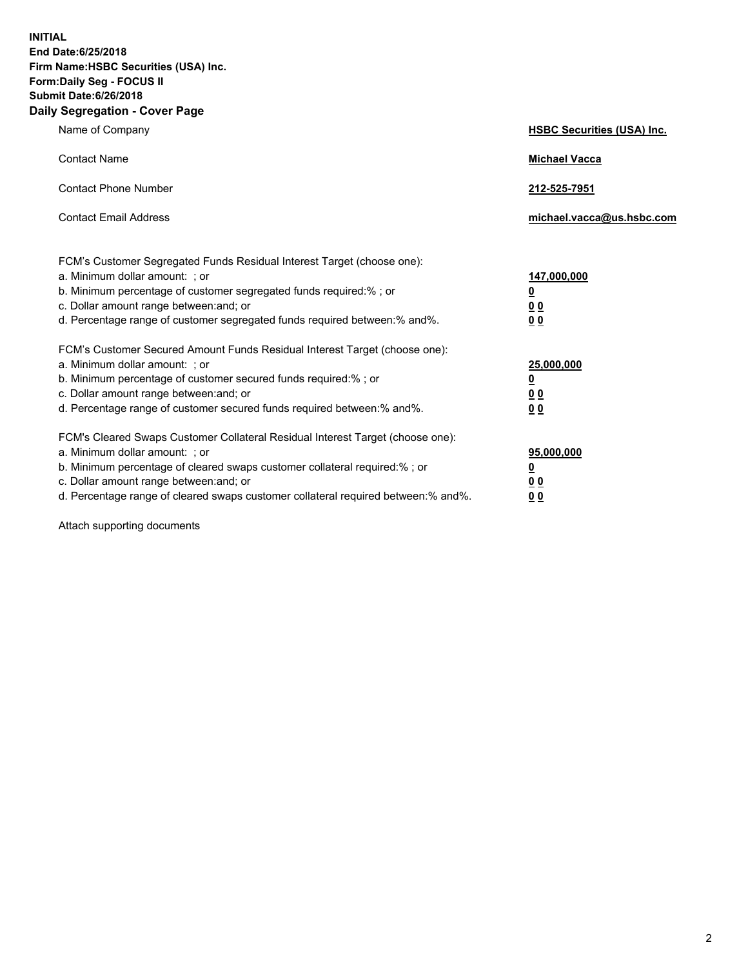**INITIAL End Date:6/25/2018 Firm Name:HSBC Securities (USA) Inc. Form:Daily Seg - FOCUS II Submit Date:6/26/2018 Daily Segregation - Cover Page**

| Name of Company                                                                                                                                                                                                                                                                                                                | <b>HSBC Securities (USA) Inc.</b>                                          |
|--------------------------------------------------------------------------------------------------------------------------------------------------------------------------------------------------------------------------------------------------------------------------------------------------------------------------------|----------------------------------------------------------------------------|
| <b>Contact Name</b>                                                                                                                                                                                                                                                                                                            | <b>Michael Vacca</b>                                                       |
| <b>Contact Phone Number</b>                                                                                                                                                                                                                                                                                                    | 212-525-7951                                                               |
| <b>Contact Email Address</b>                                                                                                                                                                                                                                                                                                   | michael.vacca@us.hsbc.com                                                  |
| FCM's Customer Segregated Funds Residual Interest Target (choose one):<br>a. Minimum dollar amount: : or<br>b. Minimum percentage of customer segregated funds required:% ; or<br>c. Dollar amount range between: and; or<br>d. Percentage range of customer segregated funds required between:% and%.                         | 147,000,000<br>$\overline{\mathbf{0}}$<br>0 <sub>0</sub><br>0 <sub>0</sub> |
| FCM's Customer Secured Amount Funds Residual Interest Target (choose one):<br>a. Minimum dollar amount: ; or<br>b. Minimum percentage of customer secured funds required:%; or<br>c. Dollar amount range between: and; or<br>d. Percentage range of customer secured funds required between:% and%.                            | 25,000,000<br><u>0</u><br>0 <sub>0</sub><br>00                             |
| FCM's Cleared Swaps Customer Collateral Residual Interest Target (choose one):<br>a. Minimum dollar amount: ; or<br>b. Minimum percentage of cleared swaps customer collateral required:% ; or<br>c. Dollar amount range between: and; or<br>d. Percentage range of cleared swaps customer collateral required between:% and%. | 95,000,000<br><u>0</u><br>00<br>0 <sub>0</sub>                             |

Attach supporting documents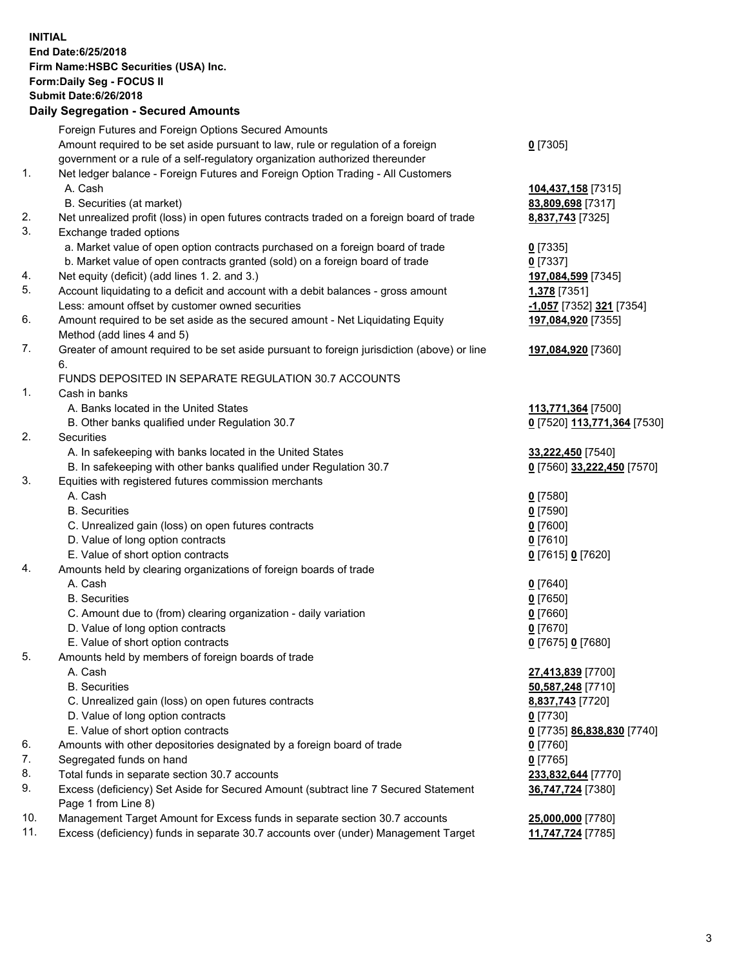**INITIAL End Date:6/25/2018 Firm Name:HSBC Securities (USA) Inc. Form:Daily Seg - FOCUS II Submit Date:6/26/2018 Daily Segregation - Secured Amounts** Foreign Futures and Foreign Options Secured Amounts Amount required to be set aside pursuant to law, rule or regulation of a foreign government or a rule of a self-regulatory organization authorized thereunder 1. Net ledger balance - Foreign Futures and Foreign Option Trading - All Customers A. Cash **104,437,158** [7315] B. Securities (at market) **83,809,698** [7317] 2. Net unrealized profit (loss) in open futures contracts traded on a foreign board of trade **8,837,743** [7325] 3. Exchange traded options a. Market value of open option contracts purchased on a foreign board of trade **0** [7335] b. Market value of open contracts granted (sold) on a foreign board of trade **0** [7337] 4. Net equity (deficit) (add lines 1. 2. and 3.) **197,084,599** [7345] 5. Account liquidating to a deficit and account with a debit balances - gross amount **1,378** [7351] Less: amount offset by customer owned securities **-1,057** [7352] **321** [7354] 6. Amount required to be set aside as the secured amount - Net Liquidating Equity Method (add lines 4 and 5) 7. Greater of amount required to be set aside pursuant to foreign jurisdiction (above) or line 6. FUNDS DEPOSITED IN SEPARATE REGULATION 30.7 ACCOUNTS 1. Cash in banks A. Banks located in the United States **113,771,364** [7500] B. Other banks qualified under Regulation 30.7 **0** [7520] **113,771,364** [7530] 2. Securities A. In safekeeping with banks located in the United States **33,222,450** [7540] B. In safekeeping with other banks qualified under Regulation 30.7 **0** [7560] **33,222,450** [7570] 3. Equities with registered futures commission merchants A. Cash **0** [7580] B. Securities **0** [7590]

- C. Unrealized gain (loss) on open futures contracts **0** [7600]
- D. Value of long option contracts **0** [7610]
- E. Value of short option contracts **0** [7615] **0** [7620]
- 4. Amounts held by clearing organizations of foreign boards of trade
	- A. Cash **0** [7640]
	- B. Securities **0** [7650]
	- C. Amount due to (from) clearing organization daily variation **0** [7660]
	- D. Value of long option contracts **0** [7670]
	- E. Value of short option contracts **0** [7675] **0** [7680]
- 5. Amounts held by members of foreign boards of trade
	-
	-
	- C. Unrealized gain (loss) on open futures contracts **8,837,743** [7720]
	- D. Value of long option contracts **0** [7730]
	- E. Value of short option contracts **0** [7735] **86,838,830** [7740]
- 6. Amounts with other depositories designated by a foreign board of trade **0** [7760]
- 7. Segregated funds on hand **0** [7765]
- 8. Total funds in separate section 30.7 accounts **233,832,644** [7770]
- 9. Excess (deficiency) Set Aside for Secured Amount (subtract line 7 Secured Statement Page 1 from Line 8)
- 10. Management Target Amount for Excess funds in separate section 30.7 accounts **25,000,000** [7780]
- 11. Excess (deficiency) funds in separate 30.7 accounts over (under) Management Target **11,747,724** [7785]

**197,084,920** [7355]

**197,084,920** [7360]

 A. Cash **27,413,839** [7700] B. Securities **50,587,248** [7710] **36,747,724** [7380]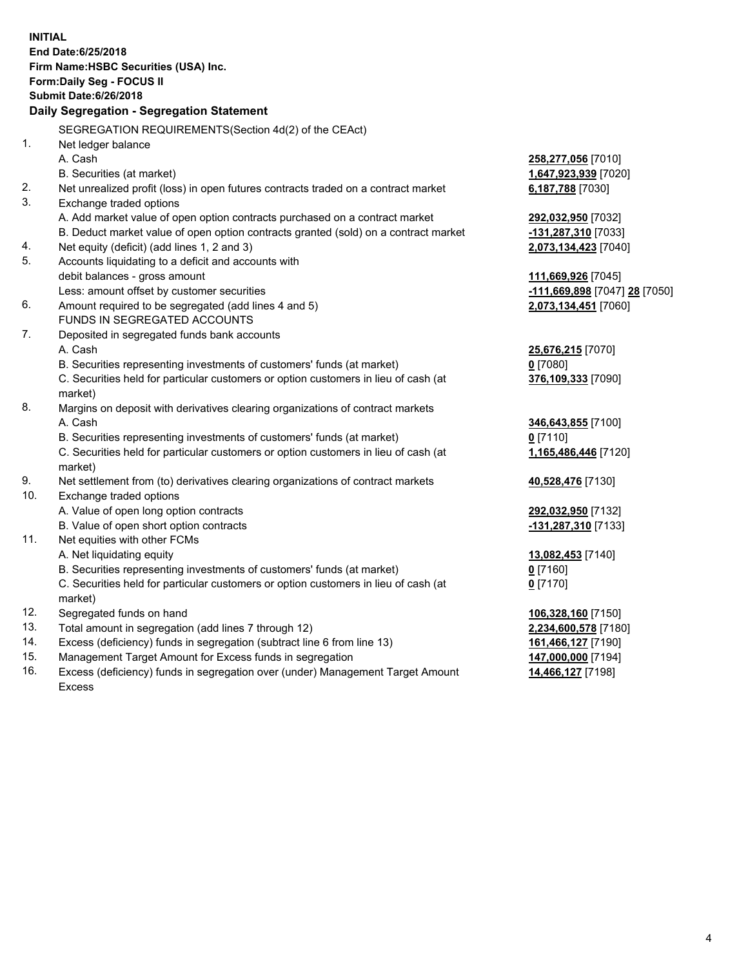|     | <b>INITIAL</b><br>End Date: 6/25/2018<br>Firm Name: HSBC Securities (USA) Inc.<br>Form: Daily Seg - FOCUS II<br><b>Submit Date:6/26/2018</b><br>Daily Segregation - Segregation Statement |                                             |
|-----|-------------------------------------------------------------------------------------------------------------------------------------------------------------------------------------------|---------------------------------------------|
|     | SEGREGATION REQUIREMENTS(Section 4d(2) of the CEAct)                                                                                                                                      |                                             |
| 1.  | Net ledger balance                                                                                                                                                                        |                                             |
|     | A. Cash                                                                                                                                                                                   | 258,277,056 [7010]                          |
|     | B. Securities (at market)                                                                                                                                                                 | 1,647,923,939 [7020]                        |
| 2.  | Net unrealized profit (loss) in open futures contracts traded on a contract market                                                                                                        | 6,187,788 [7030]                            |
| 3.  | Exchange traded options                                                                                                                                                                   |                                             |
|     | A. Add market value of open option contracts purchased on a contract market                                                                                                               | 292,032,950 [7032]                          |
|     | B. Deduct market value of open option contracts granted (sold) on a contract market                                                                                                       | -131,287,310 [7033]                         |
| 4.  | Net equity (deficit) (add lines 1, 2 and 3)                                                                                                                                               | 2,073,134,423 [7040]                        |
| 5.  | Accounts liquidating to a deficit and accounts with                                                                                                                                       |                                             |
|     | debit balances - gross amount                                                                                                                                                             | 111,669,926 [7045]                          |
|     | Less: amount offset by customer securities                                                                                                                                                | <u>-111,669,898</u> [7047] <u>28</u> [7050] |
| 6.  | Amount required to be segregated (add lines 4 and 5)                                                                                                                                      | 2,073,134,451 [7060]                        |
|     | FUNDS IN SEGREGATED ACCOUNTS                                                                                                                                                              |                                             |
| 7.  | Deposited in segregated funds bank accounts                                                                                                                                               |                                             |
|     | A. Cash                                                                                                                                                                                   | 25,676,215 [7070]                           |
|     | B. Securities representing investments of customers' funds (at market)                                                                                                                    | $0$ [7080]                                  |
|     | C. Securities held for particular customers or option customers in lieu of cash (at                                                                                                       | 376,109,333 [7090]                          |
|     | market)                                                                                                                                                                                   |                                             |
| 8.  | Margins on deposit with derivatives clearing organizations of contract markets                                                                                                            |                                             |
|     | A. Cash                                                                                                                                                                                   | 346,643,855 [7100]                          |
|     | B. Securities representing investments of customers' funds (at market)                                                                                                                    | $0$ [7110]                                  |
|     | C. Securities held for particular customers or option customers in lieu of cash (at<br>market)                                                                                            | 1,165,486,446 [7120]                        |
| 9.  | Net settlement from (to) derivatives clearing organizations of contract markets                                                                                                           | 40,528,476 [7130]                           |
| 10. | Exchange traded options                                                                                                                                                                   |                                             |
|     | A. Value of open long option contracts                                                                                                                                                    | 292,032,950 [7132]                          |
|     | B. Value of open short option contracts                                                                                                                                                   | -131,287,310 [7133]                         |
| 11. | Net equities with other FCMs                                                                                                                                                              |                                             |
|     | A. Net liquidating equity                                                                                                                                                                 | 13,082,453 [7140]                           |
|     | B. Securities representing investments of customers' funds (at market)                                                                                                                    | <u>0</u> [7160]                             |
|     | C. Securities held for particular customers or option customers in lieu of cash (at<br>market)                                                                                            | $0$ [7170]                                  |
| 12. | Segregated funds on hand                                                                                                                                                                  | 106,328,160 [7150]                          |
| 13. | Total amount in segregation (add lines 7 through 12)                                                                                                                                      | 2,234,600,578 [7180]                        |
| 14. | Excess (deficiency) funds in segregation (subtract line 6 from line 13)                                                                                                                   | 161,466,127 [7190]                          |
| 15. | Management Target Amount for Excess funds in segregation                                                                                                                                  | 147,000,000 [7194]                          |
| 16. | Excess (deficiency) funds in segregation over (under) Management Target Amount                                                                                                            | 14,466,127 [7198]                           |

16. Excess (deficiency) funds in segregation over (under) Management Target Amount Excess